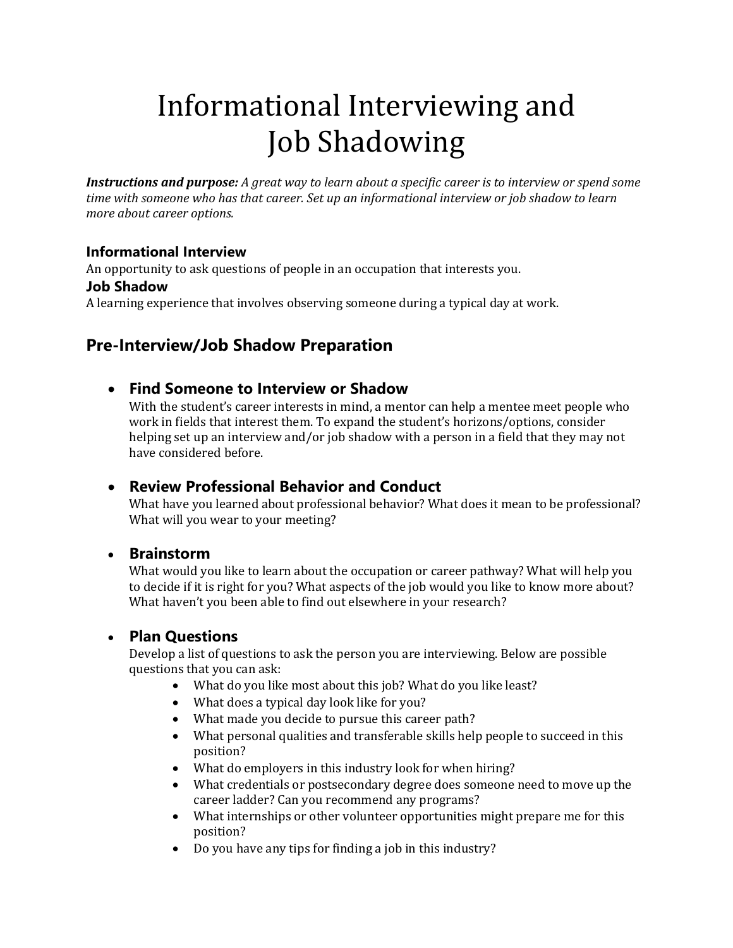# Informational Interviewing and Job Shadowing

*Instructions and purpose: A great way to learn about a specific career is to interview or spend some time with someone who has that career. Set up an informational interview or job shadow to learn more about career options.* 

### **Informational Interview**

An opportunity to ask questions of people in an occupation that interests you.

### **Job Shadow**

A learning experience that involves observing someone during a typical day at work.

# **Pre-Interview/Job Shadow Preparation**

• **Find Someone to Interview or Shadow** 

With the student's career interests in mind, a mentor can help a mentee meet people who work in fields that interest them. To expand the student's horizons/options, consider helping set up an interview and/or job shadow with a person in a field that they may not have considered before.

# • **Review Professional Behavior and Conduct**

What have you learned about professional behavior? What does it mean to be professional? What will you wear to your meeting?

### • **Brainstorm**

What would you like to learn about the occupation or career pathway? What will help you to decide if it is right for you? What aspects of the job would you like to know more about? What haven't you been able to find out elsewhere in your research?

# • **Plan Questions**

Develop a list of questions to ask the person you are interviewing. Below are possible questions that you can ask:

- What do you like most about this job? What do you like least?
- What does a typical day look like for you?
- What made you decide to pursue this career path?
- What personal qualities and transferable skills help people to succeed in this position?
- What do employers in this industry look for when hiring?
- What credentials or postsecondary degree does someone need to move up the career ladder? Can you recommend any programs?
- What internships or other volunteer opportunities might prepare me for this position?
- Do you have any tips for finding a job in this industry?